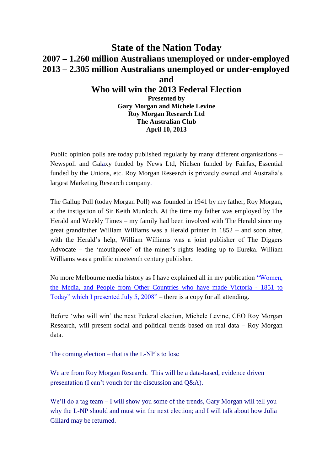# **State of the Nation Today 2007 – 1.260 million Australians unemployed or under-employed 2013 – 2.305 million Australians unemployed or under-employed and Who will win the 2013 Federal Election Presented by Gary Morgan and Michele Levine Roy Morgan Research Ltd The Australian Club**

Public opinion polls are today published regularly by many different organisations – Newspoll and Galaxy funded by News Ltd, Nielsen funded by Fairfax, Essential funded by the Unions, etc. Roy Morgan Research is privately owned and Australia's largest Marketing Research company.

**April 10, 2013**

The Gallup Poll (today Morgan Poll) was founded in 1941 by my father, Roy Morgan, at the instigation of Sir Keith Murdoch. At the time my father was employed by The Herald and Weekly Times – my family had been involved with The Herald since my great grandfather William Williams was a Herald printer in 1852 – and soon after, with the Herald's help, William Williams was a joint publisher of The Diggers Advocate – the 'mouthpiece' of the miner's rights leading up to Eureka. William Williams was a prolific nineteenth century publisher.

No more Melbourne media history as I have explained all in my publication "Women, [the Media, and People from Other Countries who have made Victoria -](file://melfile01/production/Productn/GALLUP/POLLING/Polls%20&%20Media%20Releases%20(2010%20-%202019)/Polls%202013/My%20Documents/Women,the%20Media%20and%20People%20from%20Other%20Countries%20who%20have%20made%20Victoria-1851%20to%20Today,%20Aug%202008%20to%20June%202011%20pdf.pdf) 1851 to [Today" which I presented July 5, 2008"](file://melfile01/production/Productn/GALLUP/POLLING/Polls%20&%20Media%20Releases%20(2010%20-%202019)/Polls%202013/My%20Documents/Women,the%20Media%20and%20People%20from%20Other%20Countries%20who%20have%20made%20Victoria-1851%20to%20Today,%20Aug%202008%20to%20June%202011%20pdf.pdf) – there is a copy for all attending.

Before 'who will win' the next Federal election, Michele Levine, CEO Roy Morgan Research, will present social and political trends based on real data – Roy Morgan data.

The coming election – that is the L-NP's to lose

We are from Roy Morgan Research. This will be a data-based, evidence driven presentation (I can't vouch for the discussion and Q&A).

We'll do a tag team – I will show you some of the trends, Gary Morgan will tell you why the L-NP should and must win the next election; and I will talk about how Julia Gillard may be returned.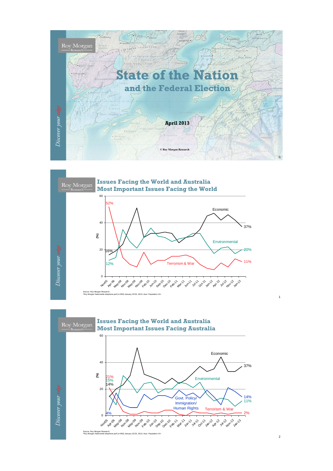



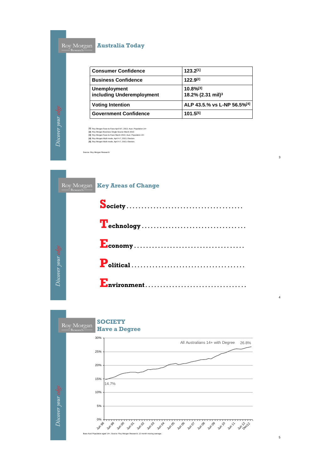#### **Australia Today**

| <b>Consumer Confidence</b>                       | 123.2[1]                                                                 |  |
|--------------------------------------------------|--------------------------------------------------------------------------|--|
| <b>Business Confidence</b>                       | 122.9[2]                                                                 |  |
| <b>Unemployment</b><br>including Underemployment | 10.8%[3]<br>18.2% (2.31 mil) <sup>3</sup><br>ALP 43.5.% vs L-NP 56.5%[4] |  |
| <b>Voting Intention</b>                          |                                                                          |  |
| <b>Government Confidence</b>                     | 101.5[5]                                                                 |  |

3

4

5

**[1] [2] [3] [4] [5]** Roy Morgan Face-to-Face April 6/7, 2013; Aust. Population 14+<br>Roy Morgan Business Single Source March 2013<br>Roy Morgan Face-to-Face March 2013; Aust. Population 14+<br>Roy Morgan Multi-mode, April 4-7, 2013; Electors<br>Roy Morga

Source: Roy Morgan Research

|                    | Research- | Roy Morgan Key Areas of Change |
|--------------------|-----------|--------------------------------|
|                    |           |                                |
|                    |           |                                |
|                    |           |                                |
| Discover your edge |           |                                |
|                    |           |                                |

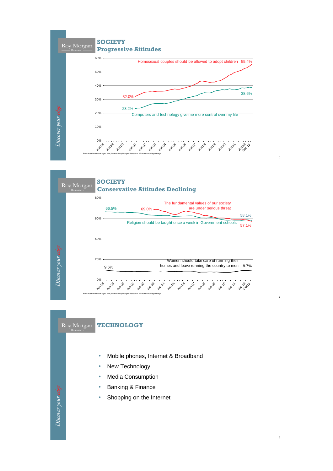



Roy Morgan

#### **TECHNOLOGY**

- Mobile phones, Internet & Broadband
- **New Technology**
- **Media Consumption**
- Banking & Finance
- Shopping on the Internet

6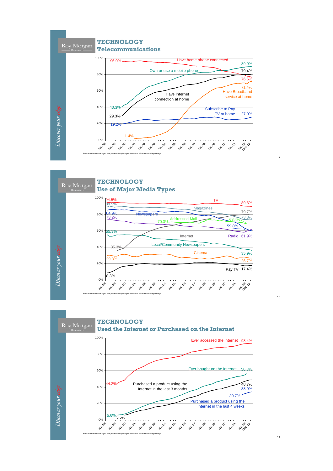



**TECHNOLOGY** Roy Morgan **Used the Internet or Purchased on the Internet** 100% Ever accessed the Internet 93.4% 80% Ever bought on the Internet 56.3% 60% Purchased a product using the 48.7% 44.2% 40% Discover your edge Internet in the last 3 months 33.9%30.7% Purchased a product using the 20% Internet in the last 4 weeks 5.6% 5.5% 0% +<br>3<sup>06</sup><br>3<sup>un 96</sup> Jun 99 Jun 01 Jun 03 Jun 10 Jun 00 Jun 02 Jun Jun Jun Jun J Jun 08 Jun 09 Jun Jun 2 22 Base Aust Population aged 14+; Source: Roy Morgan Research; 12 month moving average

10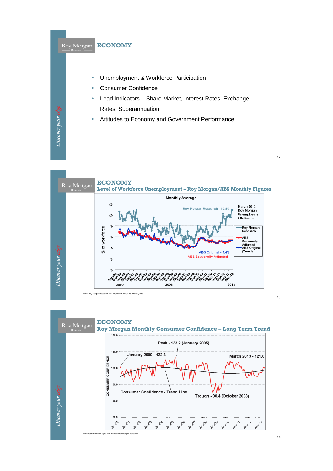



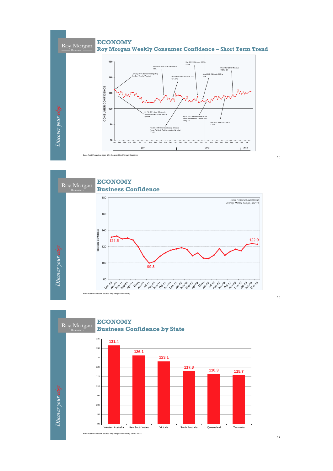



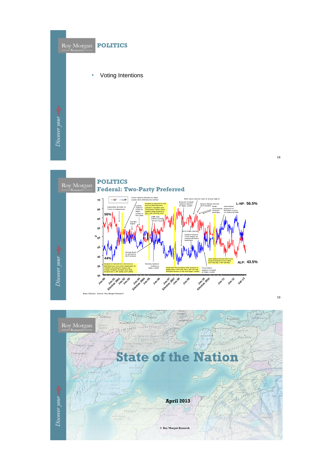

19



NEW Peattonin, Æ. Roy Morgan REP **State of the Nation** Discover your edge **April 2013 © Roy Morgan Research**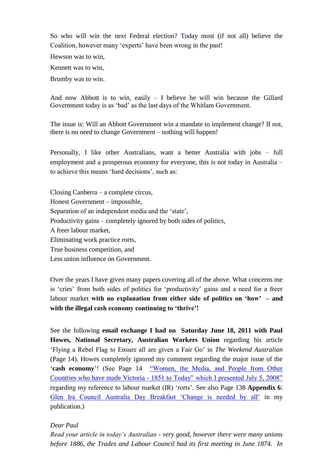So who will win the next Federal election? Today most (if not all) believe the Coalition, however many 'experts' have been wrong in the past!

Hewson was to win,

Kennett was to win,

Brumby was to win.

And now Abbott is to win, easily – I believe he will win because the Gillard Government today is as 'bad' as the last days of the Whitlam Government.

The issue is: Will an Abbott Government win a mandate to implement change? If not, there is no need to change Government – nothing will happen!

Personally, I like other Australians, want a better Australia with jobs – full employment and a prosperous economy for everyone, this is not today in Australia – to achieve this means 'hard decisions', such as:

Closing Canberra – a complete circus, Honest Government – impossible, Separation of an independent media and the 'state', Productivity gains – completely ignored by both sides of politics, A freer labour market, Eliminating work practice rorts, True business competition, and Less union influence on Government.

Over the years I have given many papers covering all of the above. What concerns me is 'cries' from both sides of politics for 'productivity' gains and a need for a freer labour market **with no explanation from either side of politics on 'how' – and with the illegal cash economy continuing to 'thrive'!**

See the following **email exchange I had on Saturday June 18, 2011 with Paul Howes, National Secretary, Australian Workers Union** regarding his article 'Flying a Rebel Flag to Ensure all are given a Fair Go' in *The Weekend Australian*  (Page 14). Howes completely ignored my comment regarding the major issue of the '**cash economy**'! (See Page 14 ["Women, the Media, and People from Other](file://melfile01/production/Productn/GALLUP/POLLING/Polls%20&%20Media%20Releases%20(2010%20-%202019)/Polls%202013/My%20Documents/Women,the%20Media%20and%20People%20from%20Other%20Countries%20who%20have%20made%20Victoria-1851%20to%20Today,%20Aug%202008%20to%20June%202011%20pdf.pdf)  Countries who have made Victoria - [1851 to Today" which I presented July 5, 2008"](file://melfile01/production/Productn/GALLUP/POLLING/Polls%20&%20Media%20Releases%20(2010%20-%202019)/Polls%202013/My%20Documents/Women,the%20Media%20and%20People%20from%20Other%20Countries%20who%20have%20made%20Victoria-1851%20to%20Today,%20Aug%202008%20to%20June%202011%20pdf.pdf) regarding my reference to labour market (IR) 'rorts'. See also Page 138 **Appendix 6**: [Glen Ira Council Australia Day Breakfast 'Change is needed by all'](http://www.roymorgan.com/resources/pdf/papers/20100102.pdf) in my publication.)

### *Dear Paul*

*Read your article in today's Australian - very good, however there were many unions before 1886, the Trades and Labour Council had its first meeting in June 1874. In*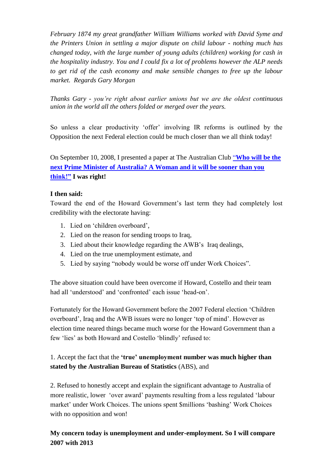*February 1874 my great grandfather William Williams worked with David Syme and the Printers Union in settling a major dispute on child labour - nothing much has changed today, with the large number of young adults (children) working for cash in the hospitality industry. You and I could fix a lot of problems however the ALP needs to get rid of the cash economy and make sensible changes to free up the labour market. Regards Gary Morgan*

*Thanks Gary - you're right about earlier unions but we are the oldest continuous union in the world all the others folded or merged over the years.*

So unless a clear productivity 'offer' involving IR reforms is outlined by the Opposition the next Federal election could be much closer than we all think today!

On September 10, 2008, I presented a paper at The Australian Club "**[Who will be the](file://melfile01/production/Productn/GALLUP/POLLING/Polls%20&%20Media%20Releases%20(2010%20-%202019)/Polls%202013/My%20Documents/Who%20will%20be%20the%20next%20Prime%20Minister%20of%20Australia.pdf)  [next Prime Minister of Australia? A Woman and it will be sooner than you](file://melfile01/production/Productn/GALLUP/POLLING/Polls%20&%20Media%20Releases%20(2010%20-%202019)/Polls%202013/My%20Documents/Who%20will%20be%20the%20next%20Prime%20Minister%20of%20Australia.pdf)  [think!"](file://melfile01/production/Productn/GALLUP/POLLING/Polls%20&%20Media%20Releases%20(2010%20-%202019)/Polls%202013/My%20Documents/Who%20will%20be%20the%20next%20Prime%20Minister%20of%20Australia.pdf) I was right!**

### **I then said:**

Toward the end of the Howard Government's last term they had completely lost credibility with the electorate having:

- 1. Lied on 'children overboard',
- 2. Lied on the reason for sending troops to Iraq,
- 3. Lied about their knowledge regarding the AWB's Iraq dealings,
- 4. Lied on the true unemployment estimate, and
- 5. Lied by saying "nobody would be worse off under Work Choices".

The above situation could have been overcome if Howard, Costello and their team had all 'understood' and 'confronted' each issue 'head-on'.

Fortunately for the Howard Government before the 2007 Federal election 'Children overboard', Iraq and the AWB issues were no longer 'top of mind'. However as election time neared things became much worse for the Howard Government than a few 'lies' as both Howard and Costello 'blindly' refused to:

## 1. Accept the fact that the **'true' unemployment number was much higher than stated by the Australian Bureau of Statistics** (ABS), and

2. Refused to honestly accept and explain the significant advantage to Australia of more realistic, lower 'over award' payments resulting from a less regulated 'labour market' under Work Choices. The unions spent \$millions 'bashing' Work Choices with no opposition and won!

**My concern today is unemployment and under-employment. So I will compare 2007 with 2013**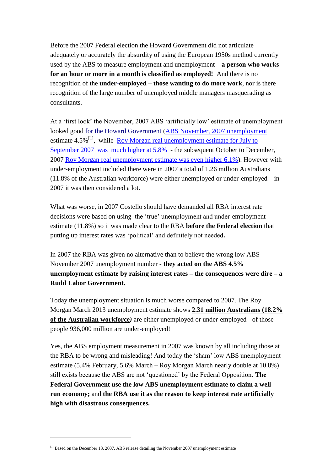Before the 2007 Federal election the Howard Government did not articulate adequately or accurately the absurdity of using the European 1950s method currently used by the ABS to measure employment and unemployment – **a person who works for an hour or more in a month is classified as employed!** And there is no recognition of the **under-employed – those wanting to do more work**, nor is there recognition of the large number of unemployed middle managers masquerading as consultants.

At a 'first look' the November, 2007 ABS 'artificially low' estimate of unemployment looked good for the Howard Government [\(ABS November, 2007](http://www.abs.gov.au/AUSSTATS/abs@.nsf/second+level+view?ReadForm&prodno=6202.0&viewtitle=Labour%20Force,%20Australia~Nov%202007~Latest~13/12/2007&&tabname=Past%20Future%20Issues&prodno=6202.0&issue=Nov%202007&num=&view=&) unemployment estimate 4.5%<sup>[1]</sup>, while <u>Roy Morgan real unemployment estimate for July to</u> [September 2007 was](http://www.roymorgan.com/news/polls/2007/4224/) much higher at 5.8% - the subsequent October to December, 2007 [Roy Morgan real unemployment estimate was even higher 6.1%\)](http://www.roymorgan.com/news/polls/2008/4262/). However with under-employment included there were in 2007 a total of 1.26 million Australians (11.8% of the Australian workforce) were either unemployed or under-employed – in 2007 it was then considered a lot.

What was worse, in 2007 Costello should have demanded all RBA interest rate decisions were based on using the 'true' unemployment and under-employment estimate (11.8%) so it was made clear to the RBA **before the Federal election** that putting up interest rates was 'political' and definitely not needed**.**

In 2007 the RBA was given no alternative than to believe the wrong low ABS November 2007 unemployment number - **they acted on the ABS 4.5% unemployment estimate by raising interest rates – the consequences were dire – a Rudd Labor Government.**

Today the unemployment situation is much worse compared to 2007. The Roy Morgan March 2013 unemployment estimate shows **[2.31 million Australians \(18.2%](http://www.roymorgan.com/news/polls/2013/4881)  [of the Australian workforce](http://www.roymorgan.com/news/polls/2013/4881)***)* are either unemployed or under-employed - of those people 936,000 million are under-employed!

Yes, the ABS employment measurement in 2007 was known by all including those at the RBA to be wrong and misleading! And today the 'sham' low ABS unemployment estimate (5.4% February, 5.6% March **–** Roy Morgan March nearly double at 10.8%) still exists because the ABS are not 'questioned' by the Federal Opposition. **The Federal Government use the low ABS unemployment estimate to claim a well run economy;** and **the RBA use it as the reason to keep interest rate artificially high with disastrous consequences.**

 $\overline{a}$ 

<sup>&</sup>lt;sup>[1]</sup> Based on the December 13, 2007, ABS release detailing the November 2007 unemployment estimate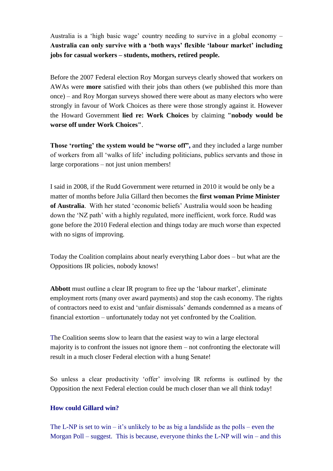Australia is a 'high basic wage' country needing to survive in a global economy – **Australia can only survive with a 'both ways' flexible 'labour market' including jobs for casual workers – students, mothers, retired people.**

Before the 2007 Federal election Roy Morgan surveys clearly showed that workers on AWAs were **more** satisfied with their jobs than others (we published this more than once) – and Roy Morgan surveys showed there were about as many electors who were strongly in favour of Work Choices as there were those strongly against it. However the Howard Government **lied re: Work Choices** by claiming **"nobody would be worse off under Work Choices"**.

**Those 'rorting' the system would be "worse off",** and they included a large number of workers from all 'walks of life' including politicians, publics servants and those in large corporations – not just union members!

I said in 2008, if the Rudd Government were returned in 2010 it would be only be a matter of months before Julia Gillard then becomes the **first woman Prime Minister of Australia**. With her stated 'economic beliefs' Australia would soon be heading down the 'NZ path' with a highly regulated, more inefficient, work force. Rudd was gone before the 2010 Federal election and things today are much worse than expected with no signs of improving.

Today the Coalition complains about nearly everything Labor does – but what are the Oppositions IR policies, nobody knows!

**Abbott** must outline a clear IR program to free up the 'labour market', eliminate employment rorts (many over award payments) and stop the cash economy. The rights of contractors need to exist and 'unfair dismissals' demands condemned as a means of financial extortion – unfortunately today not yet confronted by the Coalition.

The Coalition seems slow to learn that the easiest way to win a large electoral majority is to confront the issues not ignore them – not confronting the electorate will result in a much closer Federal election with a hung Senate!

So unless a clear productivity 'offer' involving IR reforms is outlined by the Opposition the next Federal election could be much closer than we all think today!

### **How could Gillard win?**

The L-NP is set to win – it's unlikely to be as big a landslide as the polls – even the Morgan Poll – suggest. This is because, everyone thinks the L-NP will win – and this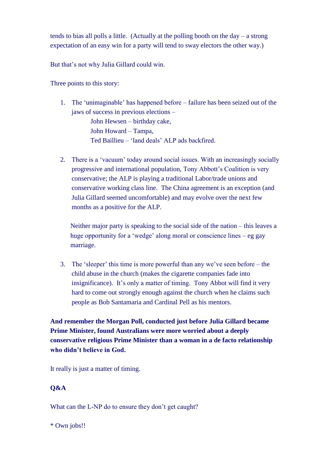tends to bias all polls a little. (Actually at the polling booth on the day – a strong expectation of an easy win for a party will tend to sway electors the other way.)

But that's not why Julia Gillard could win.

Three points to this story:

- 1. The 'unimaginable' has happened before failure has been seized out of the jaws of success in previous elections – John Hewsen – birthday cake, John Howard – Tampa, Ted Baillieu – 'land deals' ALP ads backfired.
- 2. There is a 'vacuum' today around social issues. With an increasingly socially progressive and international population, Tony Abbott's Coalition is very conservative; the ALP is playing a traditional Labor/trade unions and conservative working class line. The China agreement is an exception (and Julia Gillard seemed uncomfortable) and may evolve over the next few months as a positive for the ALP.

Neither major party is speaking to the social side of the nation – this leaves a huge opportunity for a 'wedge' along moral or conscience lines – eg gay marriage.

3. The 'sleeper' this time is more powerful than any we've seen before – the child abuse in the church (makes the cigarette companies fade into insignificance). It's only a matter of timing. Tony Abbot will find it very hard to come out strongly enough against the church when he claims such people as Bob Santamaria and Cardinal Pell as his mentors.

**And remember the Morgan Poll, conducted just before Julia Gillard became Prime Minister, found Australians were more worried about a deeply conservative religious Prime Minister than a woman in a de facto relationship who didn't believe in God.**

It really is just a matter of timing.

#### **Q&A**

What can the L-NP do to ensure they don't get caught?

\* Own jobs!!